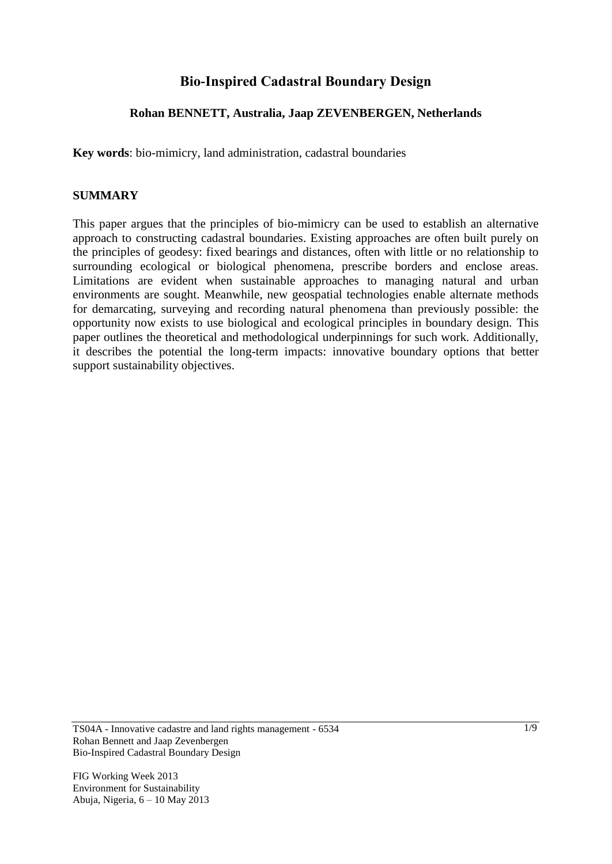# **Bio-Inspired Cadastral Boundary Design**

# **Rohan BENNETT, Australia, Jaap ZEVENBERGEN, Netherlands**

**Key words**: bio-mimicry, land administration, cadastral boundaries

# **SUMMARY**

This paper argues that the principles of bio-mimicry can be used to establish an alternative approach to constructing cadastral boundaries. Existing approaches are often built purely on the principles of geodesy: fixed bearings and distances, often with little or no relationship to surrounding ecological or biological phenomena, prescribe borders and enclose areas. Limitations are evident when sustainable approaches to managing natural and urban environments are sought. Meanwhile, new geospatial technologies enable alternate methods for demarcating, surveying and recording natural phenomena than previously possible: the opportunity now exists to use biological and ecological principles in boundary design. This paper outlines the theoretical and methodological underpinnings for such work. Additionally, it describes the potential the long-term impacts: innovative boundary options that better support sustainability objectives.

TS04A - Innovative cadastre and land rights management - 6534 Rohan Bennett and Jaap Zevenbergen Bio-Inspired Cadastral Boundary Design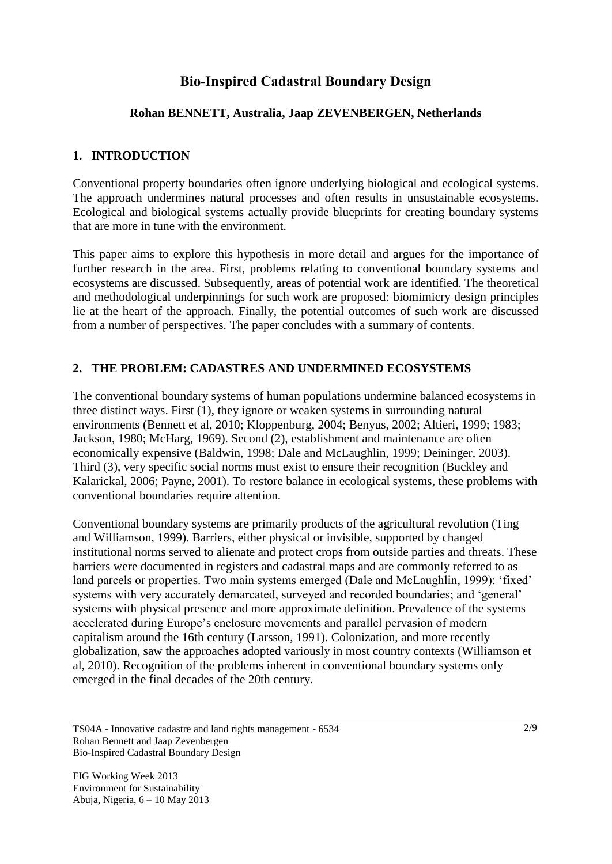# **Bio-Inspired Cadastral Boundary Design**

# **Rohan BENNETT, Australia, Jaap ZEVENBERGEN, Netherlands**

# **1. INTRODUCTION**

Conventional property boundaries often ignore underlying biological and ecological systems. The approach undermines natural processes and often results in unsustainable ecosystems. Ecological and biological systems actually provide blueprints for creating boundary systems that are more in tune with the environment.

This paper aims to explore this hypothesis in more detail and argues for the importance of further research in the area. First, problems relating to conventional boundary systems and ecosystems are discussed. Subsequently, areas of potential work are identified. The theoretical and methodological underpinnings for such work are proposed: biomimicry design principles lie at the heart of the approach. Finally, the potential outcomes of such work are discussed from a number of perspectives. The paper concludes with a summary of contents.

# **2. THE PROBLEM: CADASTRES AND UNDERMINED ECOSYSTEMS**

The conventional boundary systems of human populations undermine balanced ecosystems in three distinct ways. First (1), they ignore or weaken systems in surrounding natural environments (Bennett et al, 2010; Kloppenburg, 2004; Benyus, 2002; Altieri, 1999; 1983; Jackson, 1980; McHarg, 1969). Second (2), establishment and maintenance are often economically expensive (Baldwin, 1998; Dale and McLaughlin, 1999; Deininger, 2003). Third (3), very specific social norms must exist to ensure their recognition (Buckley and Kalarickal, 2006; Payne, 2001). To restore balance in ecological systems, these problems with conventional boundaries require attention.

Conventional boundary systems are primarily products of the agricultural revolution (Ting and Williamson, 1999). Barriers, either physical or invisible, supported by changed institutional norms served to alienate and protect crops from outside parties and threats. These barriers were documented in registers and cadastral maps and are commonly referred to as land parcels or properties. Two main systems emerged (Dale and McLaughlin, 1999): 'fixed' systems with very accurately demarcated, surveyed and recorded boundaries; and "general" systems with physical presence and more approximate definition. Prevalence of the systems accelerated during Europe"s enclosure movements and parallel pervasion of modern capitalism around the 16th century (Larsson, 1991). Colonization, and more recently globalization, saw the approaches adopted variously in most country contexts (Williamson et al, 2010). Recognition of the problems inherent in conventional boundary systems only emerged in the final decades of the 20th century.

TS04A - Innovative cadastre and land rights management - 6534 Rohan Bennett and Jaap Zevenbergen Bio-Inspired Cadastral Boundary Design

FIG Working Week 2013 Environment for Sustainability Abuja, Nigeria, 6 – 10 May 2013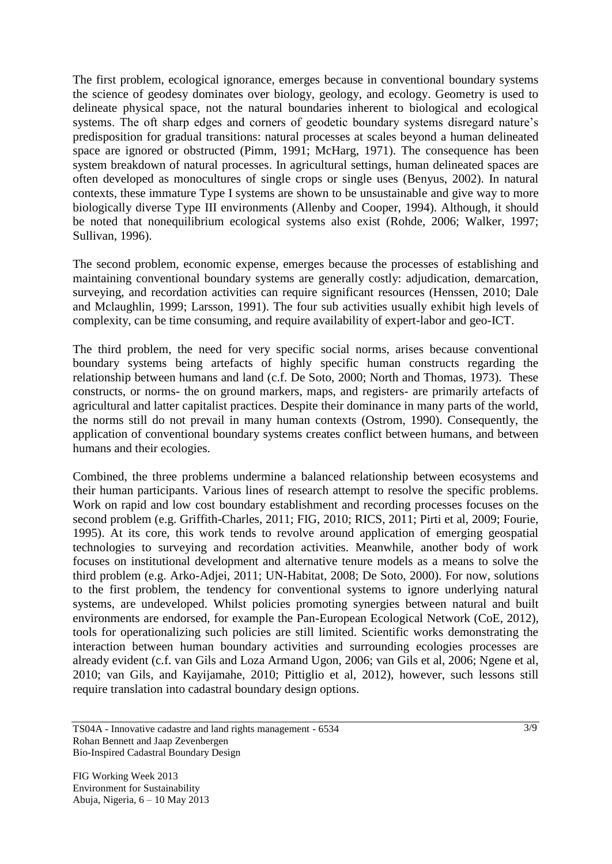The first problem, ecological ignorance, emerges because in conventional boundary systems the science of geodesy dominates over biology, geology, and ecology. Geometry is used to delineate physical space, not the natural boundaries inherent to biological and ecological systems. The oft sharp edges and corners of geodetic boundary systems disregard nature's predisposition for gradual transitions: natural processes at scales beyond a human delineated space are ignored or obstructed (Pimm, 1991; McHarg, 1971). The consequence has been system breakdown of natural processes. In agricultural settings, human delineated spaces are often developed as monocultures of single crops or single uses (Benyus, 2002). In natural contexts, these immature Type I systems are shown to be unsustainable and give way to more biologically diverse Type III environments (Allenby and Cooper, 1994). Although, it should be noted that nonequilibrium ecological systems also exist (Rohde, 2006; Walker, 1997; Sullivan, 1996).

The second problem, economic expense, emerges because the processes of establishing and maintaining conventional boundary systems are generally costly: adjudication, demarcation, surveying, and recordation activities can require significant resources (Henssen, 2010; Dale and Mclaughlin, 1999; Larsson, 1991). The four sub activities usually exhibit high levels of complexity, can be time consuming, and require availability of expert-labor and geo-ICT.

The third problem, the need for very specific social norms, arises because conventional boundary systems being artefacts of highly specific human constructs regarding the relationship between humans and land (c.f. De Soto, 2000; North and Thomas, 1973). These constructs, or norms- the on ground markers, maps, and registers- are primarily artefacts of agricultural and latter capitalist practices. Despite their dominance in many parts of the world, the norms still do not prevail in many human contexts (Ostrom, 1990). Consequently, the application of conventional boundary systems creates conflict between humans, and between humans and their ecologies.

Combined, the three problems undermine a balanced relationship between ecosystems and their human participants. Various lines of research attempt to resolve the specific problems. Work on rapid and low cost boundary establishment and recording processes focuses on the second problem (e.g. Griffith-Charles, 2011; FIG, 2010; RICS, 2011; Pirti et al, 2009; Fourie, 1995). At its core, this work tends to revolve around application of emerging geospatial technologies to surveying and recordation activities. Meanwhile, another body of work focuses on institutional development and alternative tenure models as a means to solve the third problem (e.g. Arko-Adjei, 2011; UN-Habitat, 2008; De Soto, 2000). For now, solutions to the first problem, the tendency for conventional systems to ignore underlying natural systems, are undeveloped. Whilst policies promoting synergies between natural and built environments are endorsed, for example the Pan-European Ecological Network (CoE, 2012), tools for operationalizing such policies are still limited. Scientific works demonstrating the interaction between human boundary activities and surrounding ecologies processes are already evident (c.f. van Gils and Loza Armand Ugon, 2006; van Gils et al, 2006; Ngene et al, 2010; van Gils, and Kayijamahe, 2010; Pittiglio et al, 2012), however, such lessons still require translation into cadastral boundary design options.

TS04A - Innovative cadastre and land rights management - 6534 Rohan Bennett and Jaap Zevenbergen Bio-Inspired Cadastral Boundary Design

FIG Working Week 2013 Environment for Sustainability Abuja, Nigeria, 6 – 10 May 2013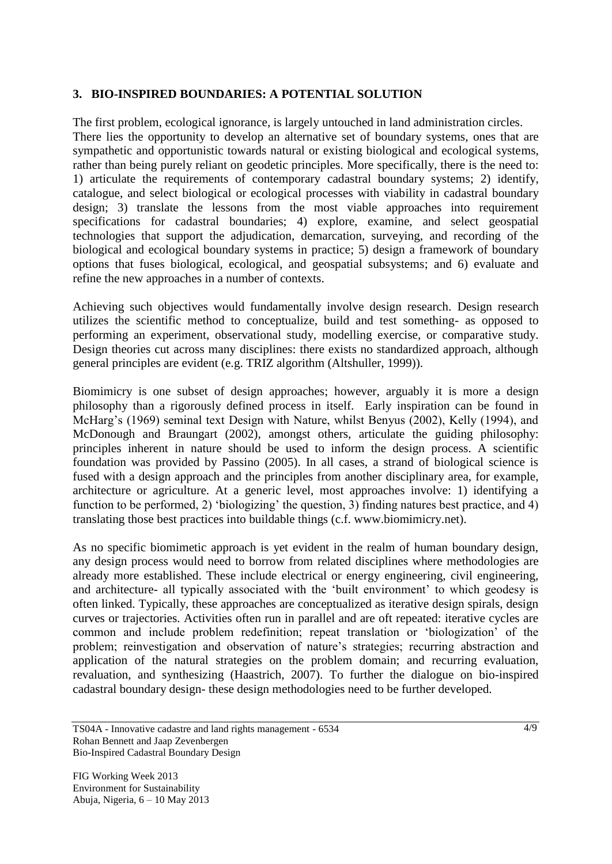### **3. BIO-INSPIRED BOUNDARIES: A POTENTIAL SOLUTION**

The first problem, ecological ignorance, is largely untouched in land administration circles. There lies the opportunity to develop an alternative set of boundary systems, ones that are sympathetic and opportunistic towards natural or existing biological and ecological systems, rather than being purely reliant on geodetic principles. More specifically, there is the need to: 1) articulate the requirements of contemporary cadastral boundary systems; 2) identify, catalogue, and select biological or ecological processes with viability in cadastral boundary design; 3) translate the lessons from the most viable approaches into requirement specifications for cadastral boundaries; 4) explore, examine, and select geospatial technologies that support the adjudication, demarcation, surveying, and recording of the biological and ecological boundary systems in practice; 5) design a framework of boundary options that fuses biological, ecological, and geospatial subsystems; and 6) evaluate and refine the new approaches in a number of contexts.

Achieving such objectives would fundamentally involve design research. Design research utilizes the scientific method to conceptualize, build and test something- as opposed to performing an experiment, observational study, modelling exercise, or comparative study. Design theories cut across many disciplines: there exists no standardized approach, although general principles are evident (e.g. TRIZ algorithm (Altshuller, 1999)).

Biomimicry is one subset of design approaches; however, arguably it is more a design philosophy than a rigorously defined process in itself. Early inspiration can be found in McHarg"s (1969) seminal text Design with Nature, whilst Benyus (2002), Kelly (1994), and McDonough and Braungart (2002), amongst others, articulate the guiding philosophy: principles inherent in nature should be used to inform the design process. A scientific foundation was provided by Passino (2005). In all cases, a strand of biological science is fused with a design approach and the principles from another disciplinary area, for example, architecture or agriculture. At a generic level, most approaches involve: 1) identifying a function to be performed, 2) 'biologizing' the question, 3) finding natures best practice, and 4) translating those best practices into buildable things (c.f. www.biomimicry.net).

As no specific biomimetic approach is yet evident in the realm of human boundary design, any design process would need to borrow from related disciplines where methodologies are already more established. These include electrical or energy engineering, civil engineering, and architecture- all typically associated with the 'built environment' to which geodesy is often linked. Typically, these approaches are conceptualized as iterative design spirals, design curves or trajectories. Activities often run in parallel and are oft repeated: iterative cycles are common and include problem redefinition; repeat translation or "biologization" of the problem; reinvestigation and observation of nature's strategies; recurring abstraction and application of the natural strategies on the problem domain; and recurring evaluation, revaluation, and synthesizing (Haastrich, 2007). To further the dialogue on bio-inspired cadastral boundary design- these design methodologies need to be further developed.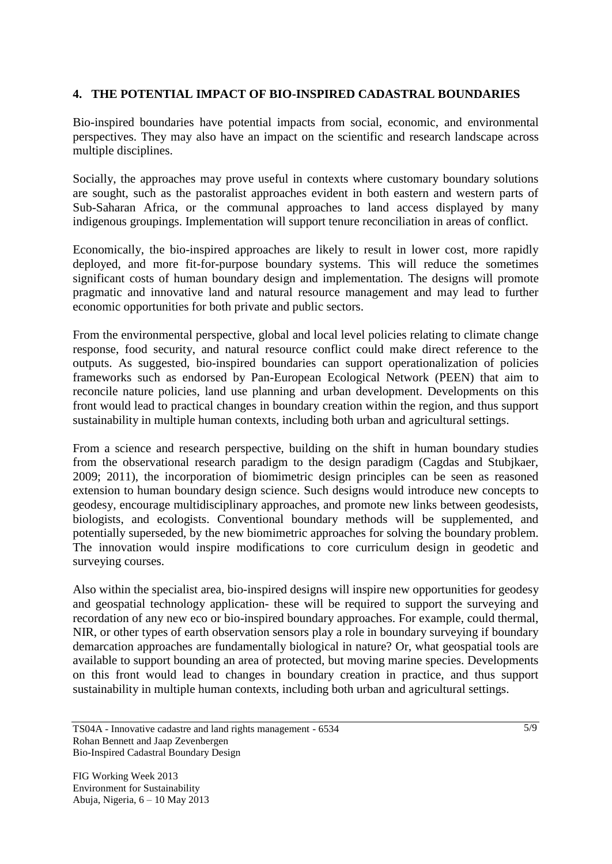# **4. THE POTENTIAL IMPACT OF BIO-INSPIRED CADASTRAL BOUNDARIES**

Bio-inspired boundaries have potential impacts from social, economic, and environmental perspectives. They may also have an impact on the scientific and research landscape across multiple disciplines.

Socially, the approaches may prove useful in contexts where customary boundary solutions are sought, such as the pastoralist approaches evident in both eastern and western parts of Sub-Saharan Africa, or the communal approaches to land access displayed by many indigenous groupings. Implementation will support tenure reconciliation in areas of conflict.

Economically, the bio-inspired approaches are likely to result in lower cost, more rapidly deployed, and more fit-for-purpose boundary systems. This will reduce the sometimes significant costs of human boundary design and implementation. The designs will promote pragmatic and innovative land and natural resource management and may lead to further economic opportunities for both private and public sectors.

From the environmental perspective, global and local level policies relating to climate change response, food security, and natural resource conflict could make direct reference to the outputs. As suggested, bio-inspired boundaries can support operationalization of policies frameworks such as endorsed by Pan-European Ecological Network (PEEN) that aim to reconcile nature policies, land use planning and urban development. Developments on this front would lead to practical changes in boundary creation within the region, and thus support sustainability in multiple human contexts, including both urban and agricultural settings.

From a science and research perspective, building on the shift in human boundary studies from the observational research paradigm to the design paradigm (Cagdas and Stubjkaer, 2009; 2011), the incorporation of biomimetric design principles can be seen as reasoned extension to human boundary design science. Such designs would introduce new concepts to geodesy, encourage multidisciplinary approaches, and promote new links between geodesists, biologists, and ecologists. Conventional boundary methods will be supplemented, and potentially superseded, by the new biomimetric approaches for solving the boundary problem. The innovation would inspire modifications to core curriculum design in geodetic and surveying courses.

Also within the specialist area, bio-inspired designs will inspire new opportunities for geodesy and geospatial technology application- these will be required to support the surveying and recordation of any new eco or bio-inspired boundary approaches. For example, could thermal, NIR, or other types of earth observation sensors play a role in boundary surveying if boundary demarcation approaches are fundamentally biological in nature? Or, what geospatial tools are available to support bounding an area of protected, but moving marine species. Developments on this front would lead to changes in boundary creation in practice, and thus support sustainability in multiple human contexts, including both urban and agricultural settings.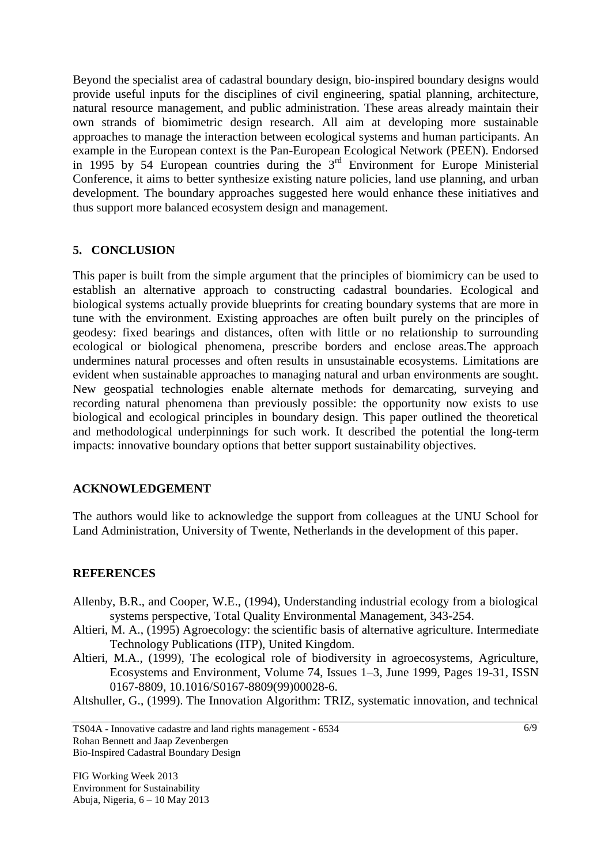Beyond the specialist area of cadastral boundary design, bio-inspired boundary designs would provide useful inputs for the disciplines of civil engineering, spatial planning, architecture, natural resource management, and public administration. These areas already maintain their own strands of biomimetric design research. All aim at developing more sustainable approaches to manage the interaction between ecological systems and human participants. An example in the European context is the Pan-European Ecological Network (PEEN). Endorsed in 1995 by 54 European countries during the  $3<sup>rd</sup>$  Environment for Europe Ministerial Conference, it aims to better synthesize existing nature policies, land use planning, and urban development. The boundary approaches suggested here would enhance these initiatives and thus support more balanced ecosystem design and management.

# **5. CONCLUSION**

This paper is built from the simple argument that the principles of biomimicry can be used to establish an alternative approach to constructing cadastral boundaries. Ecological and biological systems actually provide blueprints for creating boundary systems that are more in tune with the environment. Existing approaches are often built purely on the principles of geodesy: fixed bearings and distances, often with little or no relationship to surrounding ecological or biological phenomena, prescribe borders and enclose areas.The approach undermines natural processes and often results in unsustainable ecosystems. Limitations are evident when sustainable approaches to managing natural and urban environments are sought. New geospatial technologies enable alternate methods for demarcating, surveying and recording natural phenomena than previously possible: the opportunity now exists to use biological and ecological principles in boundary design. This paper outlined the theoretical and methodological underpinnings for such work. It described the potential the long-term impacts: innovative boundary options that better support sustainability objectives.

# **ACKNOWLEDGEMENT**

The authors would like to acknowledge the support from colleagues at the UNU School for Land Administration, University of Twente, Netherlands in the development of this paper.

### **REFERENCES**

- Allenby, B.R., and Cooper, W.E., (1994), Understanding industrial ecology from a biological systems perspective, Total Quality Environmental Management, 343-254.
- Altieri, M. A., (1995) Agroecology: the scientific basis of alternative agriculture. Intermediate Technology Publications (ITP), United Kingdom.
- Altieri, M.A., (1999), The ecological role of biodiversity in agroecosystems, Agriculture, Ecosystems and Environment, Volume 74, Issues 1–3, June 1999, Pages 19-31, ISSN 0167-8809, 10.1016/S0167-8809(99)00028-6.
- Altshuller, G., (1999). The Innovation Algorithm: TRIZ, systematic innovation, and technical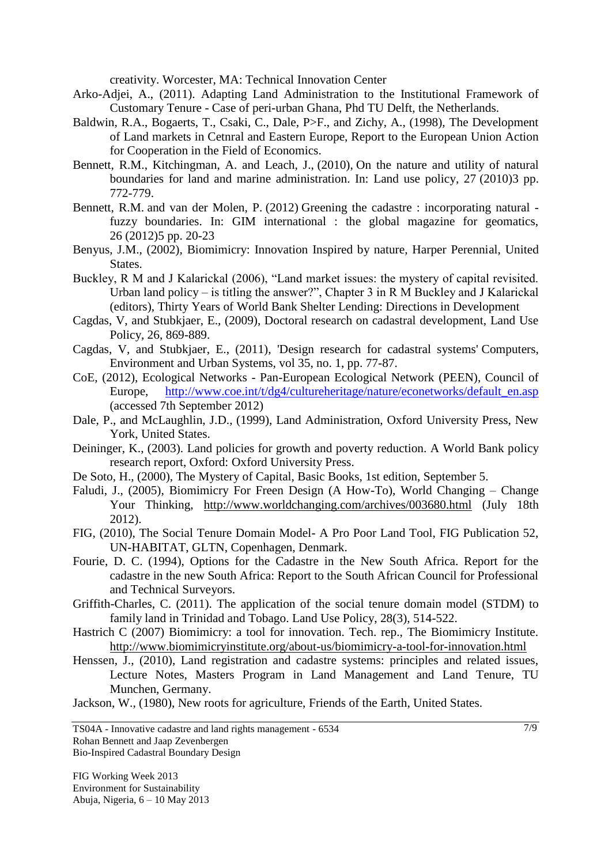creativity. Worcester, MA: Technical Innovation Center

- Arko-Adjei, A., (2011). Adapting Land Administration to the Institutional Framework of Customary Tenure - Case of peri-urban Ghana, Phd TU Delft, the Netherlands.
- Baldwin, R.A., Bogaerts, T., Csaki, C., Dale, P>F., and Zichy, A., (1998), The Development of Land markets in Cetnral and Eastern Europe, Report to the European Union Action for Cooperation in the Field of Economics.
- Bennett, R.M., Kitchingman, A. and Leach, J., (2010), On the nature and utility of natural boundaries for land and marine administration. In: Land use policy, 27 (2010)3 pp. 772-779.
- Bennett, R.M. and van der Molen, P. (2012) Greening the cadastre : incorporating natural fuzzy boundaries. In: GIM international : the global magazine for geomatics, 26 (2012)5 pp. 20-23
- Benyus, J.M., (2002), Biomimicry: Innovation Inspired by nature, Harper Perennial, United States.
- Buckley, R M and J Kalarickal (2006), "Land market issues: the mystery of capital revisited. Urban land policy – is titling the answer?", Chapter 3 in R M Buckley and J Kalarickal (editors), Thirty Years of World Bank Shelter Lending: Directions in Development
- Cagdas, V, and Stubkjaer, E., (2009), Doctoral research on cadastral development, Land Use Policy, 26, 869-889.
- Cagdas, V, and Stubkjaer, E., (2011), 'Design research for cadastral systems' Computers, Environment and Urban Systems, vol 35, no. 1, pp. 77-87.
- CoE, (2012), Ecological Networks Pan-European Ecological Network (PEEN), Council of Europe, [http://www.coe.int/t/dg4/cultureheritage/nature/econetworks/default\\_en.asp](http://www.coe.int/t/dg4/cultureheritage/nature/econetworks/default_en.asp) (accessed 7th September 2012)
- Dale, P., and McLaughlin, J.D., (1999), Land Administration, Oxford University Press, New York, United States.
- Deininger, K., (2003). Land policies for growth and poverty reduction. A World Bank policy research report, Oxford: Oxford University Press.
- De Soto, H., (2000), The Mystery of Capital, Basic Books, 1st edition, September 5.
- Faludi, J., (2005), Biomimicry For Freen Design (A How-To), World Changing Change Your Thinking, <http://www.worldchanging.com/archives/003680.html> (July 18th 2012).
- FIG, (2010), The Social Tenure Domain Model- A Pro Poor Land Tool, FIG Publication 52, UN-HABITAT, GLTN, Copenhagen, Denmark.
- Fourie, D. C. (1994), Options for the Cadastre in the New South Africa. Report for the cadastre in the new South Africa: Report to the South African Council for Professional and Technical Surveyors.
- Griffith-Charles, C. (2011). The application of the social tenure domain model (STDM) to family land in Trinidad and Tobago. Land Use Policy, 28(3), 514-522.
- Hastrich C (2007) Biomimicry: a tool for innovation. Tech. rep., The Biomimicry Institute. <http://www.biomimicryinstitute.org/about-us/biomimicry-a-tool-for-innovation.html>
- Henssen, J., (2010), Land registration and cadastre systems: principles and related issues, Lecture Notes, Masters Program in Land Management and Land Tenure, TU Munchen, Germany.

Jackson, W., (1980), New roots for agriculture, Friends of the Earth, United States.

TS04A - Innovative cadastre and land rights management - 6534 Rohan Bennett and Jaap Zevenbergen Bio-Inspired Cadastral Boundary Design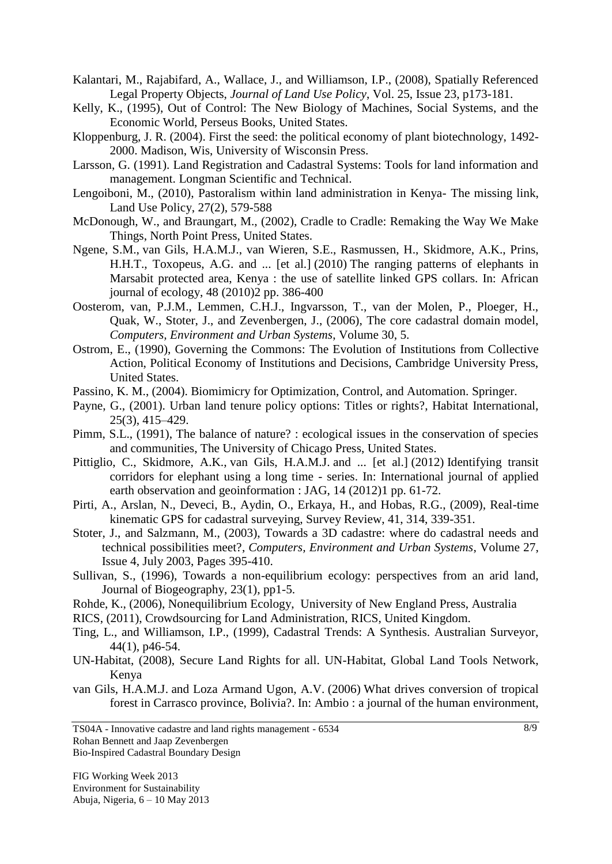- Kalantari, M., Rajabifard, A., Wallace, J., and Williamson, I.P., (2008), Spatially Referenced Legal Property Objects, *Journal of Land Use Policy*, Vol. 25, Issue 23, p173-181.
- Kelly, K., (1995), Out of Control: The New Biology of Machines, Social Systems, and the Economic World, Perseus Books, United States.
- Kloppenburg, J. R. (2004). First the seed: the political economy of plant biotechnology, 1492- 2000. Madison, Wis, University of Wisconsin Press.
- Larsson, G. (1991). Land Registration and Cadastral Systems: Tools for land information and management. Longman Scientific and Technical.
- Lengoiboni, M., (2010), Pastoralism within land administration in Kenya- The missing link, Land Use Policy, 27(2), 579-588
- McDonough, W., and Braungart, M., (2002), Cradle to Cradle: Remaking the Way We Make Things, North Point Press, United States.
- Ngene, S.M., van Gils, H.A.M.J., van Wieren, S.E., Rasmussen, H., Skidmore, A.K., Prins, H.H.T., Toxopeus, A.G. and ... [et al.] (2010) The ranging patterns of elephants in Marsabit protected area, Kenya : the use of satellite linked GPS collars. In: African journal of ecology, 48 (2010)2 pp. 386-400
- Oosterom, van, P.J.M., Lemmen, C.H.J., Ingvarsson, T., van der Molen, P., Ploeger, H., Quak, W., Stoter, J., and Zevenbergen, J., (2006), The core cadastral domain model, *Computers, Environment and Urban Systems*, Volume 30, 5.
- Ostrom, E., (1990), Governing the Commons: The Evolution of Institutions from Collective Action, Political Economy of Institutions and Decisions, Cambridge University Press, United States.
- Passino, K. M., (2004). Biomimicry for Optimization, Control, and Automation. Springer.
- Payne, G., (2001). Urban land tenure policy options: Titles or rights?, Habitat International, 25(3), 415–429.
- Pimm, S.L., (1991), The balance of nature? : ecological issues in the conservation of species and communities, The University of Chicago Press, United States.
- Pittiglio, C., Skidmore, A.K., van Gils, H.A.M.J. and ... [et al.] (2012) Identifying transit corridors for elephant using a long time - series. In: International journal of applied earth observation and geoinformation : JAG, 14 (2012)1 pp. 61-72.
- Pirti, A., Arslan, N., Deveci, B., Aydin, O., Erkaya, H., and Hobas, R.G., (2009), Real-time kinematic GPS for cadastral surveying, Survey Review, 41, 314, 339-351.
- Stoter, J., and Salzmann, M., (2003), Towards a 3D cadastre: where do cadastral needs and technical possibilities meet?, *Computers, Environment and Urban Systems*, Volume 27, Issue 4, July 2003, Pages 395-410.
- Sullivan, S., (1996), Towards a non-equilibrium ecology: perspectives from an arid land, Journal of Biogeography, 23(1), pp1-5.
- Rohde, K., (2006), Nonequilibrium Ecology, University of New England Press, Australia

RICS, (2011), Crowdsourcing for Land Administration, RICS, United Kingdom.

- Ting, L., and Williamson, I.P., (1999), Cadastral Trends: A Synthesis. Australian Surveyor, 44(1), p46-54.
- UN-Habitat, (2008), Secure Land Rights for all. UN-Habitat, Global Land Tools Network, Kenya
- van Gils, H.A.M.J. and Loza Armand Ugon, A.V. (2006) What drives conversion of tropical forest in Carrasco province, Bolivia?. In: Ambio : a journal of the human environment,